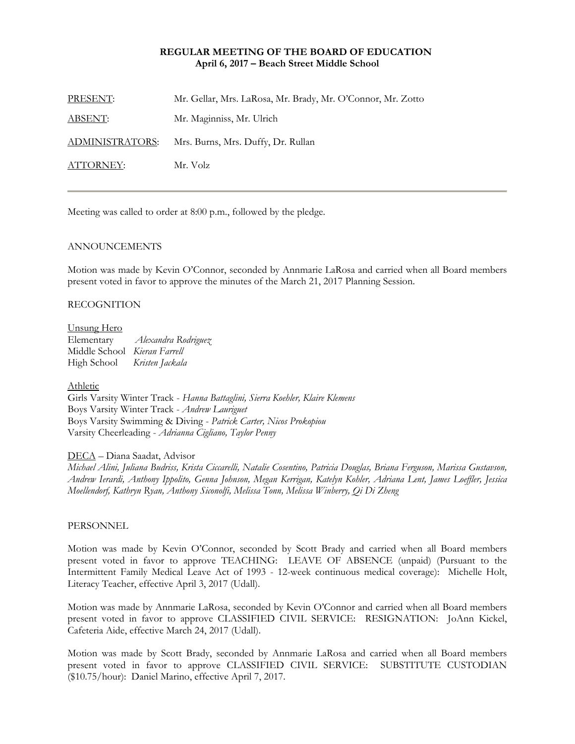## **REGULAR MEETING OF THE BOARD OF EDUCATION April 6, 2017 – Beach Street Middle School**

| PRESENT:               | Mr. Gellar, Mrs. LaRosa, Mr. Brady, Mr. O'Connor, Mr. Zotto |
|------------------------|-------------------------------------------------------------|
| <u>ABSENT:</u>         | Mr. Maginniss, Mr. Ulrich                                   |
| <b>ADMINISTRATORS:</b> | Mrs. Burns, Mrs. Duffy, Dr. Rullan                          |
| ATTORNEY:              | Mr. Volz                                                    |

Meeting was called to order at 8:00 p.m., followed by the pledge.

#### ANNOUNCEMENTS

Motion was made by Kevin O'Connor, seconded by Annmarie LaRosa and carried when all Board members present voted in favor to approve the minutes of the March 21, 2017 Planning Session.

#### RECOGNITION

#### Unsung Hero

Elementary *Alexandra Rodriguez*  Middle School *Kieran Farrell* High School *Kristen Jackala*

#### Athletic

Girls Varsity Winter Track - *Hanna Battaglini, Sierra Koehler, Klaire Klemens* Boys Varsity Winter Track - *Andrew Lauriguet* Boys Varsity Swimming & Diving - *Patrick Carter, Nicos Prokopiou* Varsity Cheerleading - *Adrianna Cigliano, Taylor Penny*

DECA – Diana Saadat, Advisor

*Michael Alini, Juliana Budriss, Krista Ciccarelli, Natalie Cosentino, Patricia Douglas, Briana Ferguson, Marissa Gustavson, Andrew Ierardi, Anthony Ippolito, Genna Johnson, Megan Kerrigan, Katelyn Kohler, Adriana Lent, James Loeffler, Jessica Moellendorf, Kathryn Ryan, Anthony Siconolfi, Melissa Tonn, Melissa Winberry, Qi Di Zheng* 

#### PERSONNEL

Motion was made by Kevin O'Connor, seconded by Scott Brady and carried when all Board members present voted in favor to approve TEACHING: LEAVE OF ABSENCE (unpaid) (Pursuant to the Intermittent Family Medical Leave Act of 1993 - 12-week continuous medical coverage): Michelle Holt, Literacy Teacher, effective April 3, 2017 (Udall).

Motion was made by Annmarie LaRosa, seconded by Kevin O'Connor and carried when all Board members present voted in favor to approve CLASSIFIED CIVIL SERVICE: RESIGNATION: JoAnn Kickel, Cafeteria Aide, effective March 24, 2017 (Udall).

Motion was made by Scott Brady, seconded by Annmarie LaRosa and carried when all Board members present voted in favor to approve CLASSIFIED CIVIL SERVICE: SUBSTITUTE CUSTODIAN (\$10.75/hour): Daniel Marino, effective April 7, 2017.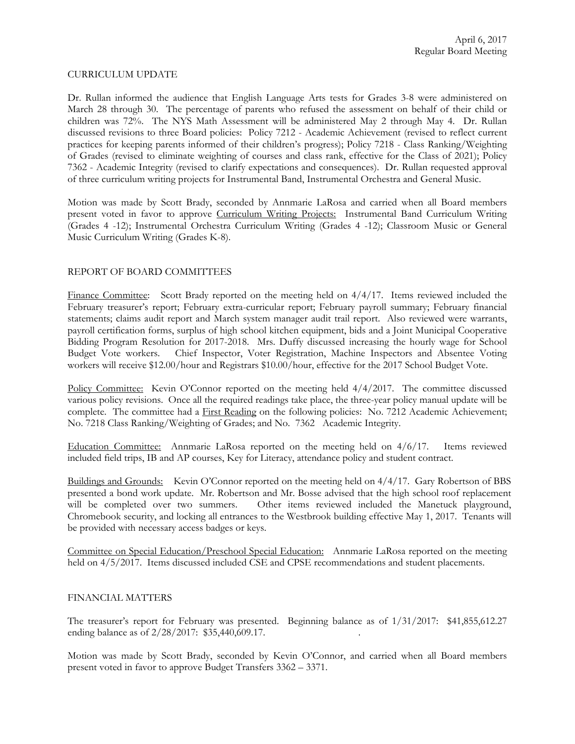#### CURRICULUM UPDATE

Dr. Rullan informed the audience that English Language Arts tests for Grades 3-8 were administered on March 28 through 30. The percentage of parents who refused the assessment on behalf of their child or children was 72%. The NYS Math Assessment will be administered May 2 through May 4. Dr. Rullan discussed revisions to three Board policies: Policy 7212 - Academic Achievement (revised to reflect current practices for keeping parents informed of their children's progress); Policy 7218 - Class Ranking/Weighting of Grades (revised to eliminate weighting of courses and class rank, effective for the Class of 2021); Policy 7362 - Academic Integrity (revised to clarify expectations and consequences). Dr. Rullan requested approval of three curriculum writing projects for Instrumental Band, Instrumental Orchestra and General Music.

Motion was made by Scott Brady, seconded by Annmarie LaRosa and carried when all Board members present voted in favor to approve Curriculum Writing Projects: Instrumental Band Curriculum Writing (Grades 4 -12); Instrumental Orchestra Curriculum Writing (Grades 4 -12); Classroom Music or General Music Curriculum Writing (Grades K-8).

# REPORT OF BOARD COMMITTEES

Finance Committee: Scott Brady reported on the meeting held on  $4/4/17$ . Items reviewed included the February treasurer's report; February extra-curricular report; February payroll summary; February financial statements; claims audit report and March system manager audit trail report. Also reviewed were warrants, payroll certification forms, surplus of high school kitchen equipment, bids and a Joint Municipal Cooperative Bidding Program Resolution for 2017-2018. Mrs. Duffy discussed increasing the hourly wage for School Budget Vote workers. Chief Inspector, Voter Registration, Machine Inspectors and Absentee Voting workers will receive \$12.00/hour and Registrars \$10.00/hour, effective for the 2017 School Budget Vote.

Policy Committee: Kevin O'Connor reported on the meeting held  $4/4/2017$ . The committee discussed various policy revisions. Once all the required readings take place, the three-year policy manual update will be complete. The committee had a First Reading on the following policies: No. 7212 Academic Achievement; No. 7218 Class Ranking/Weighting of Grades; and No. 7362 Academic Integrity.

Education Committee: Annmarie LaRosa reported on the meeting held on 4/6/17. Items reviewed included field trips, IB and AP courses, Key for Literacy, attendance policy and student contract.

Buildings and Grounds: Kevin O'Connor reported on the meeting held on 4/4/17. Gary Robertson of BBS presented a bond work update. Mr. Robertson and Mr. Bosse advised that the high school roof replacement will be completed over two summers. Other items reviewed included the Manetuck playground, Chromebook security, and locking all entrances to the Westbrook building effective May 1, 2017. Tenants will be provided with necessary access badges or keys.

Committee on Special Education/Preschool Special Education: Annmarie LaRosa reported on the meeting held on 4/5/2017. Items discussed included CSE and CPSE recommendations and student placements.

## FINANCIAL MATTERS

The treasurer's report for February was presented. Beginning balance as of 1/31/2017: \$41,855,612.27 ending balance as of  $2/28/2017$ : \$35,440,609.17.

Motion was made by Scott Brady, seconded by Kevin O'Connor, and carried when all Board members present voted in favor to approve Budget Transfers 3362 – 3371.